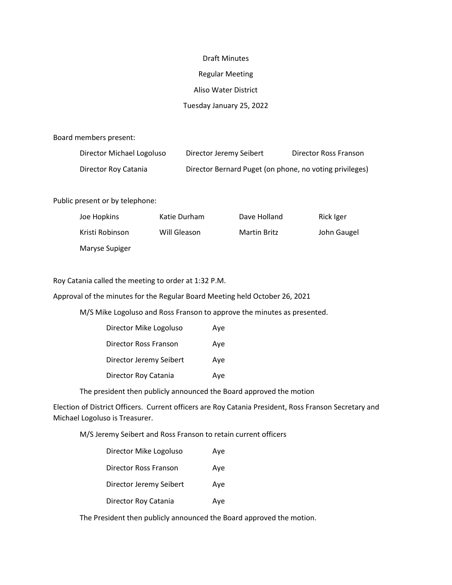#### Draft Minutes

# Regular Meeting

## Aliso Water District

## Tuesday January 25, 2022

Board members present:

| Director Michael Logoluso | Director Jeremy Seibert                                 | Director Ross Franson |
|---------------------------|---------------------------------------------------------|-----------------------|
| Director Roy Catania      | Director Bernard Puget (on phone, no voting privileges) |                       |

Public present or by telephone:

| Joe Hopkins     | Katie Durham | Dave Holland | Rick Iger   |
|-----------------|--------------|--------------|-------------|
| Kristi Robinson | Will Gleason | Martin Britz | John Gaugel |
| Maryse Supiger  |              |              |             |

Roy Catania called the meeting to order at 1:32 P.M.

Approval of the minutes for the Regular Board Meeting held October 26, 2021

M/S Mike Logoluso and Ross Franson to approve the minutes as presented.

| Director Mike Logoluso  | Ave |
|-------------------------|-----|
| Director Ross Franson   | Ave |
| Director Jeremy Seibert | Ave |
| Director Roy Catania    | Ave |

The president then publicly announced the Board approved the motion

Election of District Officers. Current officers are Roy Catania President, Ross Franson Secretary and Michael Logoluso is Treasurer.

M/S Jeremy Seibert and Ross Franson to retain current officers

| Director Mike Logoluso  | Ave |
|-------------------------|-----|
| Director Ross Franson   | Aye |
| Director Jeremy Seibert | Aye |
| Director Roy Catania    | Ave |

The President then publicly announced the Board approved the motion.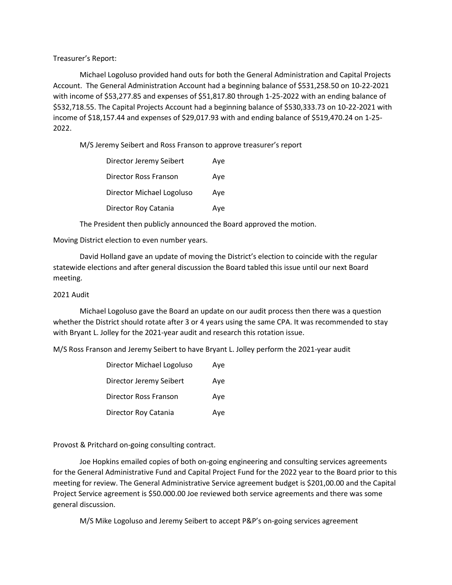Treasurer's Report:

 Michael Logoluso provided hand outs for both the General Administration and Capital Projects Account. The General Administration Account had a beginning balance of \$531,258.50 on 10-22-2021 with income of \$53,277.85 and expenses of \$51,817.80 through 1-25-2022 with an ending balance of \$532,718.55. The Capital Projects Account had a beginning balance of \$530,333.73 on 10-22-2021 with income of \$18,157.44 and expenses of \$29,017.93 with and ending balance of \$519,470.24 on 1-25- 2022.

M/S Jeremy Seibert and Ross Franson to approve treasurer's report

| Director Jeremy Seibert   | Ave |
|---------------------------|-----|
| Director Ross Franson     | Aye |
| Director Michael Logoluso | Ave |
| Director Roy Catania      | Aye |

The President then publicly announced the Board approved the motion.

Moving District election to even number years.

 David Holland gave an update of moving the District's election to coincide with the regular statewide elections and after general discussion the Board tabled this issue until our next Board meeting.

#### 2021 Audit

 Michael Logoluso gave the Board an update on our audit process then there was a question whether the District should rotate after 3 or 4 years using the same CPA. It was recommended to stay with Bryant L. Jolley for the 2021-year audit and research this rotation issue.

M/S Ross Franson and Jeremy Seibert to have Bryant L. Jolley perform the 2021-year audit

| Director Michael Logoluso | Ave |
|---------------------------|-----|
| Director Jeremy Seibert   | Ave |
| Director Ross Franson     | Ave |
| Director Roy Catania      | Ave |

Provost & Pritchard on-going consulting contract.

 Joe Hopkins emailed copies of both on-going engineering and consulting services agreements for the General Administrative Fund and Capital Project Fund for the 2022 year to the Board prior to this meeting for review. The General Administrative Service agreement budget is \$201,00.00 and the Capital Project Service agreement is \$50.000.00 Joe reviewed both service agreements and there was some general discussion.

M/S Mike Logoluso and Jeremy Seibert to accept P&P's on-going services agreement